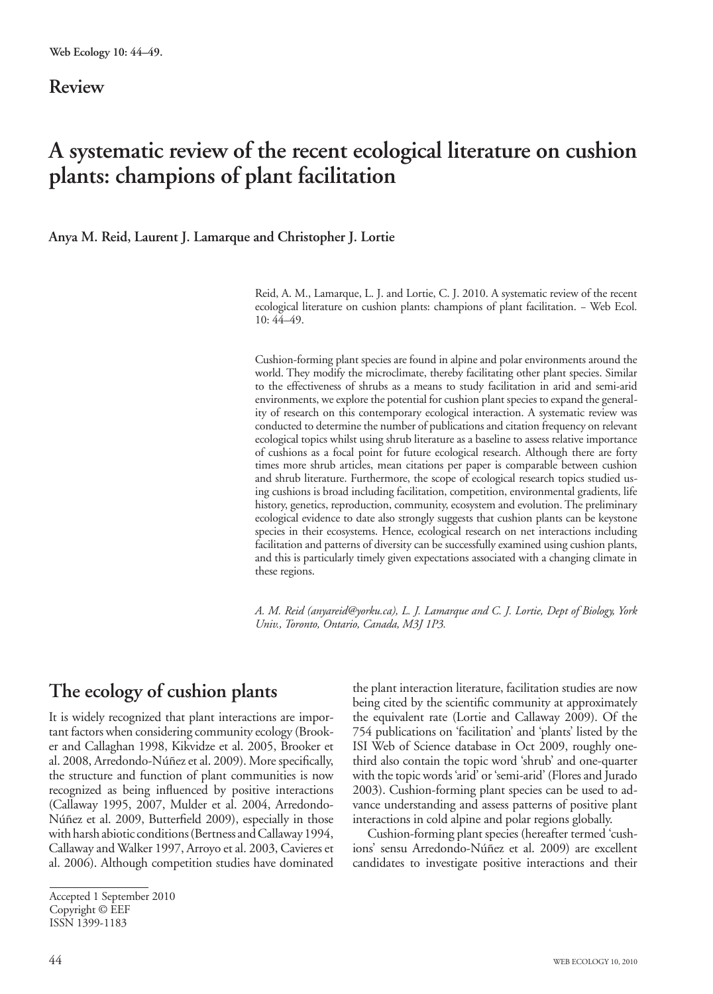#### **Review**

# **A systematic review of the recent ecological literature on cushion plants: champions of plant facilitation**

**Anya M. Reid, Laurent J. Lamarque and Christopher J. Lortie**

Reid, A. M., Lamarque, L. J. and Lortie, C. J. 2010. A systematic review of the recent ecological literature on cushion plants: champions of plant facilitation. – Web Ecol. 10: 44–49.

Cushion-forming plant species are found in alpine and polar environments around the world. They modify the microclimate, thereby facilitating other plant species. Similar to the effectiveness of shrubs as a means to study facilitation in arid and semi-arid environments, we explore the potential for cushion plant species to expand the generality of research on this contemporary ecological interaction. A systematic review was conducted to determine the number of publications and citation frequency on relevant ecological topics whilst using shrub literature as a baseline to assess relative importance of cushions as a focal point for future ecological research. Although there are forty times more shrub articles, mean citations per paper is comparable between cushion and shrub literature. Furthermore, the scope of ecological research topics studied using cushions is broad including facilitation, competition, environmental gradients, life history, genetics, reproduction, community, ecosystem and evolution. The preliminary ecological evidence to date also strongly suggests that cushion plants can be keystone species in their ecosystems. Hence, ecological research on net interactions including facilitation and patterns of diversity can be successfully examined using cushion plants, and this is particularly timely given expectations associated with a changing climate in these regions.

*A. M. Reid (anyareid@yorku.ca), L. J. Lamarque and C. J. Lortie, Dept of Biology, York Univ., Toronto, Ontario, Canada, M3J 1P3.*

## **The ecology of cushion plants**

It is widely recognized that plant interactions are important factors when considering community ecology (Brooker and Callaghan 1998, Kikvidze et al. 2005, Brooker et al. 2008, Arredondo-Núñez et al. 2009). More specifically, the structure and function of plant communities is now recognized as being influenced by positive interactions (Callaway 1995, 2007, Mulder et al. 2004, Arredondo-Núñez et al. 2009, Butterfield 2009), especially in those with harsh abiotic conditions (Bertness and Callaway 1994, Callaway and Walker 1997, Arroyo et al. 2003, Cavieres et al. 2006). Although competition studies have dominated

the plant interaction literature, facilitation studies are now being cited by the scientific community at approximately the equivalent rate (Lortie and Callaway 2009). Of the 754 publications on 'facilitation' and 'plants' listed by the ISI Web of Science database in Oct 2009, roughly onethird also contain the topic word 'shrub' and one-quarter with the topic words 'arid' or 'semi-arid' (Flores and Jurado 2003). Cushion-forming plant species can be used to advance understanding and assess patterns of positive plant interactions in cold alpine and polar regions globally.

Cushion-forming plant species (hereafter termed 'cushions' sensu Arredondo-Núñez et al. 2009) are excellent candidates to investigate positive interactions and their

Accepted 1 September 2010 Copyright © EEF ISSN 1399-1183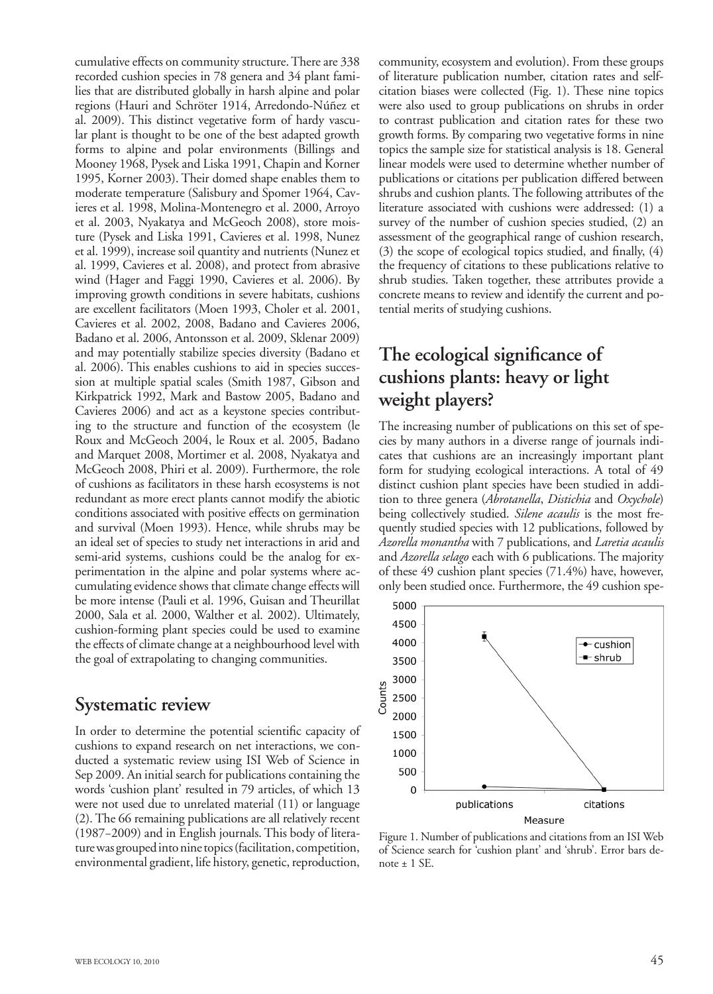cumulative effects on community structure. There are 338 recorded cushion species in 78 genera and 34 plant families that are distributed globally in harsh alpine and polar regions (Hauri and Schröter 1914, Arredondo-Núñez et al. 2009). This distinct vegetative form of hardy vascular plant is thought to be one of the best adapted growth forms to alpine and polar environments (Billings and Mooney 1968, Pysek and Liska 1991, Chapin and Korner 1995, Korner 2003). Their domed shape enables them to moderate temperature (Salisbury and Spomer 1964, Cavieres et al. 1998, Molina-Montenegro et al. 2000, Arroyo et al. 2003, Nyakatya and McGeoch 2008), store moisture (Pysek and Liska 1991, Cavieres et al. 1998, Nunez et al. 1999), increase soil quantity and nutrients (Nunez et al. 1999, Cavieres et al. 2008), and protect from abrasive wind (Hager and Faggi 1990, Cavieres et al. 2006). By improving growth conditions in severe habitats, cushions are excellent facilitators (Moen 1993, Choler et al. 2001, Cavieres et al. 2002, 2008, Badano and Cavieres 2006, Badano et al. 2006, Antonsson et al. 2009, Sklenar 2009) and may potentially stabilize species diversity (Badano et al. 2006). This enables cushions to aid in species succession at multiple spatial scales (Smith 1987, Gibson and Kirkpatrick 1992, Mark and Bastow 2005, Badano and Cavieres 2006) and act as a keystone species contributing to the structure and function of the ecosystem (le Roux and McGeoch 2004, le Roux et al. 2005, Badano and Marquet 2008, Mortimer et al. 2008, Nyakatya and McGeoch 2008, Phiri et al. 2009). Furthermore, the role of cushions as facilitators in these harsh ecosystems is not redundant as more erect plants cannot modify the abiotic conditions associated with positive effects on germination and survival (Moen 1993). Hence, while shrubs may be an ideal set of species to study net interactions in arid and semi-arid systems, cushions could be the analog for experimentation in the alpine and polar systems where accumulating evidence shows that climate change effects will be more intense (Pauli et al. 1996, Guisan and Theurillat 2000, Sala et al. 2000, Walther et al. 2002). Ultimately, cushion-forming plant species could be used to examine the effects of climate change at a neighbourhood level with the goal of extrapolating to changing communities.

### **Systematic review**

In order to determine the potential scientific capacity of cushions to expand research on net interactions, we conducted a systematic review using ISI Web of Science in Sep 2009. An initial search for publications containing the words 'cushion plant' resulted in 79 articles, of which 13 were not used due to unrelated material (11) or language (2). The 66 remaining publications are all relatively recent (1987−2009) and in English journals. This body of literature was grouped into nine topics (facilitation, competition, environmental gradient, life history, genetic, reproduction,

community, ecosystem and evolution). From these groups of literature publication number, citation rates and selfcitation biases were collected (Fig. 1). These nine topics were also used to group publications on shrubs in order to contrast publication and citation rates for these two growth forms. By comparing two vegetative forms in nine topics the sample size for statistical analysis is 18. General linear models were used to determine whether number of publications or citations per publication differed between shrubs and cushion plants. The following attributes of the literature associated with cushions were addressed: (1) a survey of the number of cushion species studied, (2) an assessment of the geographical range of cushion research, (3) the scope of ecological topics studied, and finally, (4) the frequency of citations to these publications relative to shrub studies. Taken together, these attributes provide a concrete means to review and identify the current and potential merits of studying cushions.

### **The ecological significance of cushions plants: heavy or light weight players?**

The increasing number of publications on this set of species by many authors in a diverse range of journals indicates that cushions are an increasingly important plant form for studying ecological interactions. A total of 49 distinct cushion plant species have been studied in addition to three genera (*Abrotanella*, *Distichia* and *Oxychole*) being collectively studied. *Silene acaulis* is the most frequently studied species with 12 publications, followed by *Azorella monantha* with 7 publications, and *Laretia acaulis* and *Azorella selago* each with 6 publications. The majority of these 49 cushion plant species (71.4%) have, however, only been studied once. Furthermore, the 49 cushion spe-



Figure 1. Number of publications and citations from an ISI Web of Science search for 'cushion plant' and 'shrub'. Error bars denote  $\pm$  1 SE.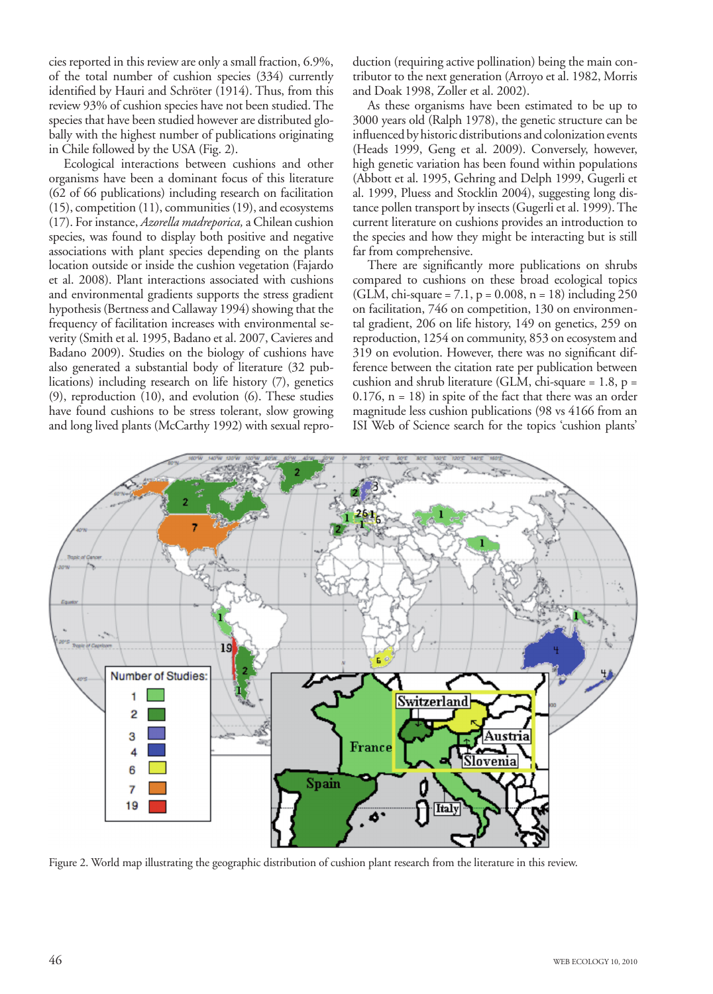cies reported in this review are only a small fraction, 6.9%, of the total number of cushion species (334) currently identified by Hauri and Schröter (1914). Thus, from this review 93% of cushion species have not been studied. The species that have been studied however are distributed globally with the highest number of publications originating in Chile followed by the USA (Fig. 2).

Ecological interactions between cushions and other organisms have been a dominant focus of this literature (62 of 66 publications) including research on facilitation (15), competition (11), communities (19), and ecosystems (17). For instance, *Azorella madreporica,* a Chilean cushion species, was found to display both positive and negative associations with plant species depending on the plants location outside or inside the cushion vegetation (Fajardo et al. 2008). Plant interactions associated with cushions and environmental gradients supports the stress gradient hypothesis (Bertness and Callaway 1994) showing that the frequency of facilitation increases with environmental severity (Smith et al. 1995, Badano et al. 2007, Cavieres and Badano 2009). Studies on the biology of cushions have also generated a substantial body of literature (32 publications) including research on life history (7), genetics (9), reproduction (10), and evolution (6). These studies have found cushions to be stress tolerant, slow growing and long lived plants (McCarthy 1992) with sexual reproduction (requiring active pollination) being the main contributor to the next generation (Arroyo et al. 1982, Morris and Doak 1998, Zoller et al. 2002).

As these organisms have been estimated to be up to 3000 years old (Ralph 1978), the genetic structure can be influenced by historic distributions and colonization events (Heads 1999, Geng et al. 2009). Conversely, however, high genetic variation has been found within populations (Abbott et al. 1995, Gehring and Delph 1999, Gugerli et al. 1999, Pluess and Stocklin 2004), suggesting long distance pollen transport by insects (Gugerli et al. 1999). The current literature on cushions provides an introduction to the species and how they might be interacting but is still far from comprehensive.

There are significantly more publications on shrubs compared to cushions on these broad ecological topics (GLM, chi-square =  $7.1$ ,  $p = 0.008$ ,  $n = 18$ ) including 250 on facilitation, 746 on competition, 130 on environmental gradient, 206 on life history, 149 on genetics, 259 on reproduction, 1254 on community, 853 on ecosystem and 319 on evolution. However, there was no significant difference between the citation rate per publication between cushion and shrub literature (GLM, chi-square =  $1.8$ , p =  $0.176$ ,  $n = 18$ ) in spite of the fact that there was an order magnitude less cushion publications (98 vs 4166 from an ISI Web of Science search for the topics 'cushion plants'



Figure 2. World map illustrating the geographic distribution of cushion plant research from the literature in this review.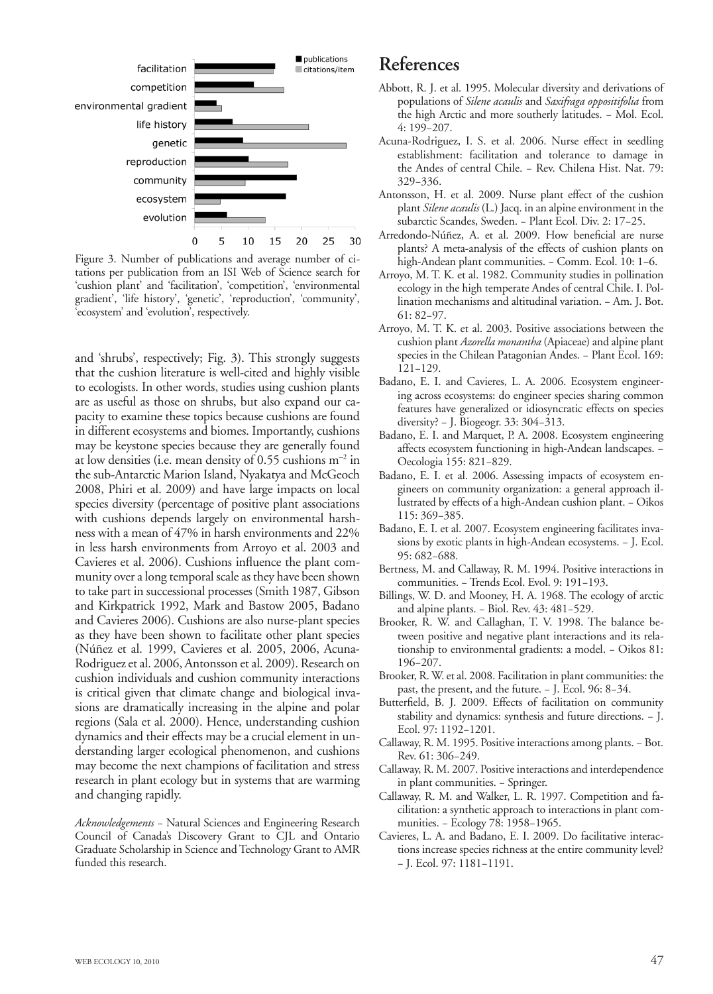

Figure 3. Number of publications and average number of citations per publication from an ISI Web of Science search for 'cushion plant' and 'facilitation', 'competition', 'environmental gradient', 'life history', 'genetic', 'reproduction', 'community', 'ecosystem' and 'evolution', respectively.

and 'shrubs', respectively; Fig. 3). This strongly suggests that the cushion literature is well-cited and highly visible to ecologists. In other words, studies using cushion plants are as useful as those on shrubs, but also expand our capacity to examine these topics because cushions are found in different ecosystems and biomes. Importantly, cushions may be keystone species because they are generally found at low densities (i.e. mean density of  $0.55$  cushions  $m^{-2}$  in the sub-Antarctic Marion Island, Nyakatya and McGeoch 2008, Phiri et al. 2009) and have large impacts on local species diversity (percentage of positive plant associations with cushions depends largely on environmental harshness with a mean of 47% in harsh environments and 22% in less harsh environments from Arroyo et al. 2003 and Cavieres et al. 2006). Cushions influence the plant community over a long temporal scale as they have been shown to take part in successional processes (Smith 1987, Gibson and Kirkpatrick 1992, Mark and Bastow 2005, Badano and Cavieres 2006). Cushions are also nurse-plant species as they have been shown to facilitate other plant species (Núñez et al. 1999, Cavieres et al. 2005, 2006, Acuna-Rodriguez et al. 2006, Antonsson et al. 2009). Research on cushion individuals and cushion community interactions is critical given that climate change and biological invasions are dramatically increasing in the alpine and polar regions (Sala et al. 2000). Hence, understanding cushion dynamics and their effects may be a crucial element in understanding larger ecological phenomenon, and cushions may become the next champions of facilitation and stress research in plant ecology but in systems that are warming and changing rapidly.

*Acknowledgements* − Natural Sciences and Engineering Research Council of Canada's Discovery Grant to CJL and Ontario Graduate Scholarship in Science and Technology Grant to AMR funded this research.

#### **References**

- Abbott, R. J. et al. 1995. Molecular diversity and derivations of populations of *Silene acaulis* and *Saxifraga oppositifolia* from the high Arctic and more southerly latitudes. − Mol. Ecol. 4: 199−207.
- Acuna-Rodriguez, I. S. et al. 2006. Nurse effect in seedling establishment: facilitation and tolerance to damage in the Andes of central Chile. − Rev. Chilena Hist. Nat. 79: 329−336.
- Antonsson, H. et al. 2009. Nurse plant effect of the cushion plant *Silene acaulis* (L.) Jacq. in an alpine environment in the subarctic Scandes, Sweden. − Plant Ecol. Div. 2: 17−25.
- Arredondo-Núñez, A. et al. 2009. How beneficial are nurse plants? A meta-analysis of the effects of cushion plants on high-Andean plant communities. − Comm. Ecol. 10: 1−6.
- Arroyo, M. T. K. et al. 1982. Community studies in pollination ecology in the high temperate Andes of central Chile. I. Pollination mechanisms and altitudinal variation. − Am. J. Bot. 61: 82−97.
- Arroyo, M. T. K. et al. 2003. Positive associations between the cushion plant *Azorella monantha* (Apiaceae) and alpine plant species in the Chilean Patagonian Andes. - Plant Ecol. 169: 121−129.
- Badano, E. I. and Cavieres, L. A. 2006. Ecosystem engineering across ecosystems: do engineer species sharing common features have generalized or idiosyncratic effects on species diversity? − J. Biogeogr. 33: 304−313.
- Badano, E. I. and Marquet, P. A. 2008. Ecosystem engineering affects ecosystem functioning in high-Andean landscapes. − Oecologia 155: 821−829.
- Badano, E. I. et al. 2006. Assessing impacts of ecosystem engineers on community organization: a general approach illustrated by effects of a high-Andean cushion plant. − Oikos 115: 369−385.
- Badano, E. I. et al. 2007. Ecosystem engineering facilitates invasions by exotic plants in high-Andean ecosystems. − J. Ecol. 95: 682−688.
- Bertness, M. and Callaway, R. M. 1994. Positive interactions in communities. − Trends Ecol. Evol. 9: 191−193.
- Billings, W. D. and Mooney, H. A. 1968. The ecology of arctic and alpine plants. − Biol. Rev. 43: 481−529.
- Brooker, R. W. and Callaghan, T. V. 1998. The balance between positive and negative plant interactions and its relationship to environmental gradients: a model. − Oikos 81: 196−207.
- Brooker, R. W. et al. 2008. Facilitation in plant communities: the past, the present, and the future. − J. Ecol. 96: 8−34.
- Butterfield, B. J. 2009. Effects of facilitation on community stability and dynamics: synthesis and future directions. − J. Ecol. 97: 1192−1201.
- Callaway, R. M. 1995. Positive interactions among plants. − Bot. Rev. 61: 306−249.
- Callaway, R. M. 2007. Positive interactions and interdependence in plant communities. - Springer.
- Callaway, R. M. and Walker, L. R. 1997. Competition and facilitation: a synthetic approach to interactions in plant communities. − Ecology 78: 1958−1965.
- Cavieres, L. A. and Badano, E. I. 2009. Do facilitative interactions increase species richness at the entire community level? − J. Ecol. 97: 1181−1191.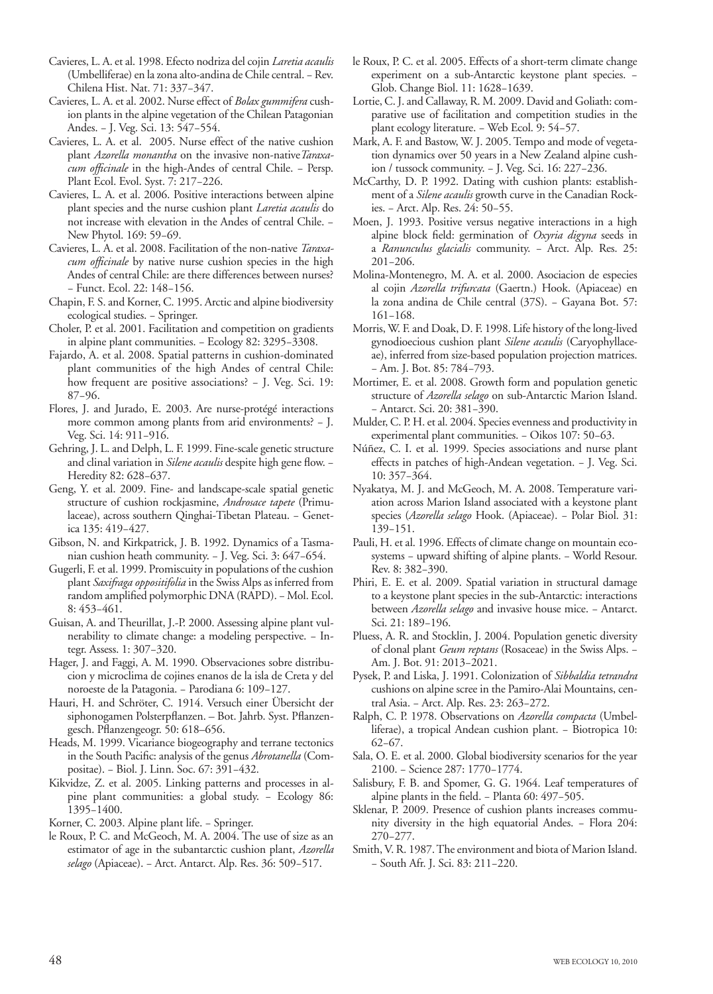- Cavieres, L. A. et al. 1998. Efecto nodriza del cojin *Laretia acaulis* (Umbelliferae) en la zona alto-andina de Chile central. − Rev. Chilena Hist. Nat. 71: 337−347.
- Cavieres, L. A. et al. 2002. Nurse effect of *Bolax gummifera* cushion plants in the alpine vegetation of the Chilean Patagonian Andes. − J. Veg. Sci. 13: 547−554.
- Cavieres, L. A. et al. 2005. Nurse effect of the native cushion plant *Azorella monantha* on the invasive non-native*Taraxacum officinale* in the high-Andes of central Chile. − Persp. Plant Ecol. Evol. Syst. 7: 217−226.
- Cavieres, L. A. et al. 2006. Positive interactions between alpine plant species and the nurse cushion plant *Laretia acaulis* do not increase with elevation in the Andes of central Chile. − New Phytol. 169: 59−69.
- Cavieres, L. A. et al. 2008. Facilitation of the non-native *Taraxacum officinale* by native nurse cushion species in the high Andes of central Chile: are there differences between nurses? − Funct. Ecol. 22: 148−156.
- Chapin, F. S. and Korner, C. 1995. Arctic and alpine biodiversity ecological studies. − Springer.
- Choler, P. et al. 2001. Facilitation and competition on gradients in alpine plant communities. − Ecology 82: 3295−3308.
- Fajardo, A. et al. 2008. Spatial patterns in cushion-dominated plant communities of the high Andes of central Chile: how frequent are positive associations? − J. Veg. Sci. 19: 87−96.
- Flores, J. and Jurado, E. 2003. Are nurse-protégé interactions more common among plants from arid environments? − J. Veg. Sci. 14: 911−916.
- Gehring, J. L. and Delph, L. F. 1999. Fine-scale genetic structure and clinal variation in *Silene acaulis* despite high gene flow. − Heredity 82: 628−637.
- Geng, Y. et al. 2009. Fine- and landscape-scale spatial genetic structure of cushion rockjasmine, *Androsace tapete* (Primulaceae), across southern Qinghai-Tibetan Plateau. − Genetica 135: 419−427.
- Gibson, N. and Kirkpatrick, J. B. 1992. Dynamics of a Tasmanian cushion heath community. − J. Veg. Sci. 3: 647−654.
- Gugerli, F. et al. 1999. Promiscuity in populations of the cushion plant *Saxifraga oppositifolia* in the Swiss Alps as inferred from random amplified polymorphic DNA (RAPD). − Mol. Ecol. 8: 453−461.
- Guisan, A. and Theurillat, J.-P. 2000. Assessing alpine plant vulnerability to climate change: a modeling perspective. − Integr. Assess. 1: 307−320.
- Hager, J. and Faggi, A. M. 1990. Observaciones sobre distribucion y microclima de cojines enanos de la isla de Creta y del noroeste de la Patagonia. − Parodiana 6: 109−127.
- Hauri, H. and Schröter, C. 1914. Versuch einer Übersicht der siphonogamen Polsterpflanzen. – Bot. Jahrb. Syst. Pflanzengesch. Pflanzengeogr. 50: 618–656.
- Heads, M. 1999. Vicariance biogeography and terrane tectonics in the South Pacific: analysis of the genus *Abrotanella* (Compositae). − Biol. J. Linn. Soc. 67: 391−432.
- Kikvidze, Z. et al. 2005. Linking patterns and processes in alpine plant communities: a global study. − Ecology 86: 1395−1400.
- Korner, C. 2003. Alpine plant life. − Springer.
- le Roux, P. C. and McGeoch, M. A. 2004. The use of size as an estimator of age in the subantarctic cushion plant, *Azorella selago* (Apiaceae). − Arct. Antarct. Alp. Res. 36: 509−517.
- le Roux, P. C. et al. 2005. Effects of a short-term climate change experiment on a sub-Antarctic keystone plant species. − Glob. Change Biol. 11: 1628−1639.
- Lortie, C. J. and Callaway, R. M. 2009. David and Goliath: comparative use of facilitation and competition studies in the plant ecology literature. − Web Ecol. 9: 54−57.
- Mark, A. F. and Bastow, W. J. 2005. Tempo and mode of vegetation dynamics over 50 years in a New Zealand alpine cushion / tussock community. − J. Veg. Sci. 16: 227−236.
- McCarthy, D. P. 1992. Dating with cushion plants: establishment of a *Silene acaulis* growth curve in the Canadian Rockies. − Arct. Alp. Res. 24: 50−55.
- Moen, J. 1993. Positive versus negative interactions in a high alpine block field: germination of *Oxyria digyna* seeds in a *Ranunculus glacialis* community. − Arct. Alp. Res. 25: 201−206.
- Molina-Montenegro, M. A. et al. 2000. Asociacion de especies al cojin *Azorella trifurcata* (Gaertn.) Hook. (Apiaceae) en la zona andina de Chile central (37S). − Gayana Bot. 57: 161−168.
- Morris, W. F. and Doak, D. F. 1998. Life history of the long-lived gynodioecious cushion plant *Silene acaulis* (Caryophyllaceae), inferred from size-based population projection matrices. − Am. J. Bot. 85: 784−793.
- Mortimer, E. et al. 2008. Growth form and population genetic structure of *Azorella selago* on sub-Antarctic Marion Island. − Antarct. Sci. 20: 381−390.
- Mulder, C. P. H. et al. 2004. Species evenness and productivity in experimental plant communities. − Oikos 107: 50−63.
- Núñez, C. I. et al. 1999. Species associations and nurse plant effects in patches of high-Andean vegetation. − J. Veg. Sci. 10: 357−364.
- Nyakatya, M. J. and McGeoch, M. A. 2008. Temperature variation across Marion Island associated with a keystone plant species (*Azorella selago* Hook. (Apiaceae). − Polar Biol. 31: 139−151.
- Pauli, H. et al. 1996. Effects of climate change on mountain ecosystems − upward shifting of alpine plants. − World Resour. Rev. 8: 382−390.
- Phiri, E. E. et al. 2009. Spatial variation in structural damage to a keystone plant species in the sub-Antarctic: interactions between *Azorella selago* and invasive house mice. − Antarct. Sci. 21: 189−196.
- Pluess, A. R. and Stocklin, J. 2004. Population genetic diversity of clonal plant *Geum reptans* (Rosaceae) in the Swiss Alps. − Am. J. Bot. 91: 2013−2021.
- Pysek, P. and Liska, J. 1991. Colonization of *Sibbaldia tetrandra* cushions on alpine scree in the Pamiro-Alai Mountains, central Asia. − Arct. Alp. Res. 23: 263−272.
- Ralph, C. P. 1978. Observations on *Azorella compacta* (Umbelliferae), a tropical Andean cushion plant. − Biotropica 10: 62−67.
- Sala, O. E. et al. 2000. Global biodiversity scenarios for the year 2100. − Science 287: 1770−1774.
- Salisbury, F. B. and Spomer, G. G. 1964. Leaf temperatures of alpine plants in the field. − Planta 60: 497−505.
- Sklenar, P. 2009. Presence of cushion plants increases community diversity in the high equatorial Andes. − Flora 204: 270−277.
- Smith, V. R. 1987. The environment and biota of Marion Island. − South Afr. J. Sci. 83: 211−220.